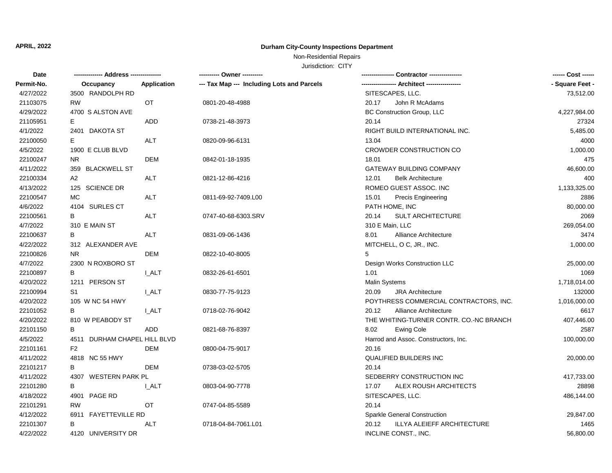## **APRIL, 2022 Durham City-County Inspections Department**

## Non-Residential Repairs

Jurisdiction: CITY

| <b>Date</b> |                              |             | ---------- Owner ----------                |                                         | ------ Cost ------ |
|-------------|------------------------------|-------------|--------------------------------------------|-----------------------------------------|--------------------|
| Permit-No.  | Occupancy                    | Application | --- Tax Map --- Including Lots and Parcels |                                         | - Square Feet -    |
| 4/27/2022   | 3500 RANDOLPH RD             |             |                                            | SITESCAPES, LLC.                        | 73,512.00          |
| 21103075    | <b>RW</b>                    | OT          | 0801-20-48-4988                            | 20.17<br>John R McAdams                 |                    |
| 4/29/2022   | 4700 S ALSTON AVE            |             |                                            | <b>BC Construction Group, LLC</b>       | 4,227,984.00       |
| 21105951    | E.                           | <b>ADD</b>  | 0738-21-48-3973                            | 20.14                                   | 27324              |
| 4/1/2022    | 2401 DAKOTA ST               |             |                                            | RIGHT BUILD INTERNATIONAL INC.          | 5,485.00           |
| 22100050    | E.                           | ALT         | 0820-09-96-6131                            | 13.04                                   | 4000               |
| 4/5/2022    | 1900 E CLUB BLVD             |             |                                            | CROWDER CONSTRUCTION CO                 | 1,000.00           |
| 22100247    | <b>NR</b>                    | <b>DEM</b>  | 0842-01-18-1935                            | 18.01                                   | 475                |
| 4/11/2022   | 359 BLACKWELL ST             |             |                                            | <b>GATEWAY BUILDING COMPANY</b>         | 46,600.00          |
| 22100334    | A2                           | <b>ALT</b>  | 0821-12-86-4216                            | 12.01<br><b>Belk Architecture</b>       | 400                |
| 4/13/2022   | 125 SCIENCE DR               |             |                                            | ROMEO GUEST ASSOC. INC                  | 1,133,325.00       |
| 22100547    | <b>MC</b>                    | <b>ALT</b>  | 0811-69-92-7409.L00                        | 15.01<br><b>Precis Engineering</b>      | 2886               |
| 4/6/2022    | 4104 SURLES CT               |             |                                            | PATH HOME, INC                          | 80,000.00          |
| 22100561    | B                            | <b>ALT</b>  | 0747-40-68-6303.SRV                        | 20.14<br><b>SULT ARCHITECTURE</b>       | 2069               |
| 4/7/2022    | 310 E MAIN ST                |             |                                            | 310 E Main, LLC                         | 269,054.00         |
| 22100637    | В                            | ALT         | 0831-09-06-1436                            | Alliance Architecture<br>8.01           | 3474               |
| 4/22/2022   | 312 ALEXANDER AVE            |             |                                            | MITCHELL, O C, JR., INC.                | 1,000.00           |
| 22100826    | N <sub>R</sub>               | <b>DEM</b>  | 0822-10-40-8005                            | 5                                       |                    |
| 4/7/2022    | 2300 N ROXBORO ST            |             |                                            | Design Works Construction LLC           | 25,000.00          |
| 22100897    | B                            | I ALT       | 0832-26-61-6501                            | 1.01                                    | 1069               |
| 4/20/2022   | 1211 PERSON ST               |             |                                            | <b>Malin Systems</b>                    | 1,718,014.00       |
| 22100994    | S1                           | I ALT       | 0830-77-75-9123                            | 20.09<br><b>JRA Architecture</b>        | 132000             |
| 4/20/2022   | 105 W NC 54 HWY              |             |                                            | POYTHRESS COMMERCIAL CONTRACTORS, INC.  | 1,016,000.00       |
| 22101052    | B                            | I ALT       | 0718-02-76-9042                            | 20.12<br>Alliance Architecture          | 6617               |
| 4/20/2022   | 810 W PEABODY ST             |             |                                            | THE WHITING-TURNER CONTR. CO.-NC BRANCH | 407,446.00         |
| 22101150    | B                            | ADD         | 0821-68-76-8397                            | 8.02<br><b>Ewing Cole</b>               | 2587               |
| 4/5/2022    | 4511 DURHAM CHAPEL HILL BLVD |             |                                            | Harrod and Assoc. Constructors, Inc.    | 100,000.00         |
| 22101161    | F <sub>2</sub>               | <b>DEM</b>  | 0800-04-75-9017                            | 20.16                                   |                    |
| 4/11/2022   | 4818 NC 55 HWY               |             |                                            | QUALIFIED BUILDERS INC                  | 20,000.00          |
| 22101217    | B                            | <b>DEM</b>  | 0738-03-02-5705                            | 20.14                                   |                    |
| 4/11/2022   | 4307 WESTERN PARK PL         |             |                                            | SEDBERRY CONSTRUCTION INC               | 417,733.00         |
| 22101280    | В                            | I ALT       | 0803-04-90-7778                            | 17.07<br>ALEX ROUSH ARCHITECTS          | 28898              |
| 4/18/2022   | 4901 PAGE RD                 |             |                                            | SITESCAPES, LLC.                        | 486,144.00         |
| 22101291    | <b>RW</b>                    | <b>OT</b>   | 0747-04-85-5589                            | 20.14                                   |                    |
| 4/12/2022   | 6911 FAYETTEVILLE RD         |             |                                            | Sparkle General Construction            | 29,847.00          |
| 22101307    | В                            | ALT         | 0718-04-84-7061.L01                        | ILLYA ALEIEFF ARCHITECTURE<br>20.12     | 1465               |
| 4/22/2022   | 4120 UNIVERSITY DR           |             |                                            | INCLINE CONST., INC.                    | 56,800.00          |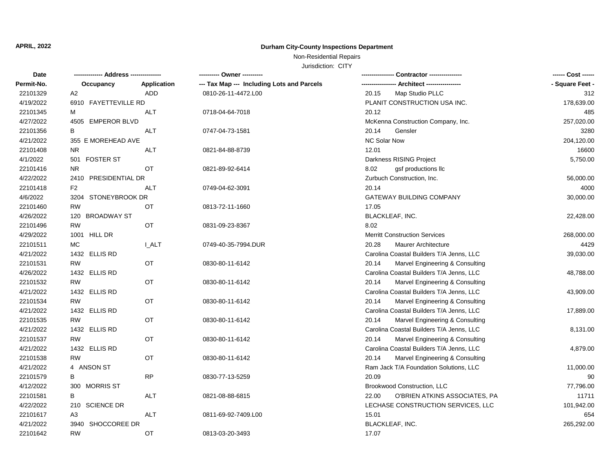## **APRIL, 2022 Durham City-County Inspections Department**

## Non-Residential Repairs

Jurisdiction: CITY

| --- Tax Map --- Including Lots and Parcels<br>-- Architect ----------------<br>- Square Feet -<br>Permit-No.<br>Application<br>Occupancy<br>22101329<br>A2<br>ADD<br>0810-26-11-4472.L00<br>20.15<br>Map Studio PLLC<br>312<br>4/19/2022<br>6910 FAYETTEVILLE RD<br>PLANIT CONSTRUCTION USA INC.<br>178,639.00<br>22101345<br><b>ALT</b><br>0718-04-64-7018<br>20.12<br>485<br>м<br>4/27/2022<br>4505 EMPEROR BLVD<br>257,020.00<br>McKenna Construction Company, Inc.<br>22101356<br><b>ALT</b><br>20.14<br>3280<br>В<br>0747-04-73-1581<br>Gensler<br>4/21/2022<br><b>NC Solar Now</b><br>355 E MOREHEAD AVE<br>204,120.00<br>22101408<br><b>NR</b><br><b>ALT</b><br>12.01<br>16600<br>0821-84-88-8739<br>4/1/2022<br>501 FOSTER ST<br>Darkness RISING Project<br>5,750.00<br>22101416<br><b>NR</b><br><b>OT</b><br>8.02<br>0821-89-92-6414<br>gsf productions llc<br>4/22/2022<br>2410 PRESIDENTIAL DR<br>Zurbuch Construction, Inc.<br>56,000.00<br>F <sub>2</sub><br><b>ALT</b><br>20.14<br>22101418<br>0749-04-62-3091<br>4000<br>4/6/2022<br>GATEWAY BUILDING COMPANY<br>3204 STONEYBROOK DR<br>30,000.00<br>22101460<br><b>RW</b><br><b>OT</b><br>17.05<br>0813-72-11-1660<br>4/26/2022<br>120 BROADWAY ST<br>BLACKLEAF, INC.<br>22,428.00<br><b>RW</b><br>OT<br>8.02<br>22101496<br>0831-09-23-8367<br>4/29/2022<br>1001 HILL DR<br><b>Merritt Construction Services</b><br>268,000.00<br>22101511<br>МC<br><b>LALT</b><br>0749-40-35-7994.DUR<br>20.28<br><b>Maurer Architecture</b><br>4429<br>4/21/2022<br>1432 ELLIS RD<br>Carolina Coastal Builders T/A Jenns, LLC<br>39,030.00<br><b>RW</b><br>22101531<br><b>OT</b><br>20.14<br>Marvel Engineering & Consulting<br>0830-80-11-6142<br>4/26/2022<br>1432 ELLIS RD<br>Carolina Coastal Builders T/A Jenns, LLC<br>48,788.00<br>22101532<br><b>RW</b><br>OT<br>20.14<br>Marvel Engineering & Consulting<br>0830-80-11-6142<br>4/21/2022<br>Carolina Coastal Builders T/A Jenns, LLC<br>1432 ELLIS RD<br>43,909.00<br><b>RW</b><br>OT<br>Marvel Engineering & Consulting<br>22101534<br>20.14<br>0830-80-11-6142<br>Carolina Coastal Builders T/A Jenns, LLC<br>4/21/2022<br>1432 ELLIS RD<br>17,889.00<br><b>RW</b><br>22101535<br>OT<br>20.14<br>Marvel Engineering & Consulting<br>0830-80-11-6142<br>4/21/2022<br>1432 ELLIS RD<br>Carolina Coastal Builders T/A Jenns, LLC<br>8,131.00<br>22101537<br><b>RW</b><br>OT<br>20.14<br>Marvel Engineering & Consulting<br>0830-80-11-6142<br>4/21/2022<br>1432 ELLIS RD<br>Carolina Coastal Builders T/A Jenns, LLC<br>4,879.00<br>22101538<br><b>RW</b><br>OT<br>Marvel Engineering & Consulting<br>20.14<br>0830-80-11-6142<br>4/21/2022<br>Ram Jack T/A Foundation Solutions, LLC<br>4 ANSON ST<br>11,000.00<br>22101579<br><b>RP</b><br>20.09<br>B<br>0830-77-13-5259<br>90<br>4/12/2022<br>300 MORRIS ST<br>Brookwood Construction, LLC<br>77,796.00<br>22101581<br><b>ALT</b><br>O'BRIEN ATKINS ASSOCIATES, PA<br>В<br>0821-08-88-6815<br>22.00<br>11711<br>4/22/2022<br>210 SCIENCE DR<br>LECHASE CONSTRUCTION SERVICES, LLC<br>101,942.00<br><b>ALT</b><br>15.01<br>22101617<br>654<br>A3<br>0811-69-92-7409.L00<br>4/21/2022<br>3940 SHOCCOREE DR<br>BLACKLEAF, INC.<br>265,292.00 | <b>Date</b> |           |           | ---------- Owner ---------- |       | ------ Cost ------ |
|---------------------------------------------------------------------------------------------------------------------------------------------------------------------------------------------------------------------------------------------------------------------------------------------------------------------------------------------------------------------------------------------------------------------------------------------------------------------------------------------------------------------------------------------------------------------------------------------------------------------------------------------------------------------------------------------------------------------------------------------------------------------------------------------------------------------------------------------------------------------------------------------------------------------------------------------------------------------------------------------------------------------------------------------------------------------------------------------------------------------------------------------------------------------------------------------------------------------------------------------------------------------------------------------------------------------------------------------------------------------------------------------------------------------------------------------------------------------------------------------------------------------------------------------------------------------------------------------------------------------------------------------------------------------------------------------------------------------------------------------------------------------------------------------------------------------------------------------------------------------------------------------------------------------------------------------------------------------------------------------------------------------------------------------------------------------------------------------------------------------------------------------------------------------------------------------------------------------------------------------------------------------------------------------------------------------------------------------------------------------------------------------------------------------------------------------------------------------------------------------------------------------------------------------------------------------------------------------------------------------------------------------------------------------------------------------------------------------------------------------------------------------------------------------------------------------------------------------------------------------------------------------------------------------------------------------------------------------------------------------------------------------------------------------------------------------------------------------------------------------------------------------------------------------------------------------------------|-------------|-----------|-----------|-----------------------------|-------|--------------------|
|                                                                                                                                                                                                                                                                                                                                                                                                                                                                                                                                                                                                                                                                                                                                                                                                                                                                                                                                                                                                                                                                                                                                                                                                                                                                                                                                                                                                                                                                                                                                                                                                                                                                                                                                                                                                                                                                                                                                                                                                                                                                                                                                                                                                                                                                                                                                                                                                                                                                                                                                                                                                                                                                                                                                                                                                                                                                                                                                                                                                                                                                                                                                                                                                         |             |           |           |                             |       |                    |
|                                                                                                                                                                                                                                                                                                                                                                                                                                                                                                                                                                                                                                                                                                                                                                                                                                                                                                                                                                                                                                                                                                                                                                                                                                                                                                                                                                                                                                                                                                                                                                                                                                                                                                                                                                                                                                                                                                                                                                                                                                                                                                                                                                                                                                                                                                                                                                                                                                                                                                                                                                                                                                                                                                                                                                                                                                                                                                                                                                                                                                                                                                                                                                                                         |             |           |           |                             |       |                    |
|                                                                                                                                                                                                                                                                                                                                                                                                                                                                                                                                                                                                                                                                                                                                                                                                                                                                                                                                                                                                                                                                                                                                                                                                                                                                                                                                                                                                                                                                                                                                                                                                                                                                                                                                                                                                                                                                                                                                                                                                                                                                                                                                                                                                                                                                                                                                                                                                                                                                                                                                                                                                                                                                                                                                                                                                                                                                                                                                                                                                                                                                                                                                                                                                         |             |           |           |                             |       |                    |
|                                                                                                                                                                                                                                                                                                                                                                                                                                                                                                                                                                                                                                                                                                                                                                                                                                                                                                                                                                                                                                                                                                                                                                                                                                                                                                                                                                                                                                                                                                                                                                                                                                                                                                                                                                                                                                                                                                                                                                                                                                                                                                                                                                                                                                                                                                                                                                                                                                                                                                                                                                                                                                                                                                                                                                                                                                                                                                                                                                                                                                                                                                                                                                                                         |             |           |           |                             |       |                    |
|                                                                                                                                                                                                                                                                                                                                                                                                                                                                                                                                                                                                                                                                                                                                                                                                                                                                                                                                                                                                                                                                                                                                                                                                                                                                                                                                                                                                                                                                                                                                                                                                                                                                                                                                                                                                                                                                                                                                                                                                                                                                                                                                                                                                                                                                                                                                                                                                                                                                                                                                                                                                                                                                                                                                                                                                                                                                                                                                                                                                                                                                                                                                                                                                         |             |           |           |                             |       |                    |
|                                                                                                                                                                                                                                                                                                                                                                                                                                                                                                                                                                                                                                                                                                                                                                                                                                                                                                                                                                                                                                                                                                                                                                                                                                                                                                                                                                                                                                                                                                                                                                                                                                                                                                                                                                                                                                                                                                                                                                                                                                                                                                                                                                                                                                                                                                                                                                                                                                                                                                                                                                                                                                                                                                                                                                                                                                                                                                                                                                                                                                                                                                                                                                                                         |             |           |           |                             |       |                    |
|                                                                                                                                                                                                                                                                                                                                                                                                                                                                                                                                                                                                                                                                                                                                                                                                                                                                                                                                                                                                                                                                                                                                                                                                                                                                                                                                                                                                                                                                                                                                                                                                                                                                                                                                                                                                                                                                                                                                                                                                                                                                                                                                                                                                                                                                                                                                                                                                                                                                                                                                                                                                                                                                                                                                                                                                                                                                                                                                                                                                                                                                                                                                                                                                         |             |           |           |                             |       |                    |
|                                                                                                                                                                                                                                                                                                                                                                                                                                                                                                                                                                                                                                                                                                                                                                                                                                                                                                                                                                                                                                                                                                                                                                                                                                                                                                                                                                                                                                                                                                                                                                                                                                                                                                                                                                                                                                                                                                                                                                                                                                                                                                                                                                                                                                                                                                                                                                                                                                                                                                                                                                                                                                                                                                                                                                                                                                                                                                                                                                                                                                                                                                                                                                                                         |             |           |           |                             |       |                    |
|                                                                                                                                                                                                                                                                                                                                                                                                                                                                                                                                                                                                                                                                                                                                                                                                                                                                                                                                                                                                                                                                                                                                                                                                                                                                                                                                                                                                                                                                                                                                                                                                                                                                                                                                                                                                                                                                                                                                                                                                                                                                                                                                                                                                                                                                                                                                                                                                                                                                                                                                                                                                                                                                                                                                                                                                                                                                                                                                                                                                                                                                                                                                                                                                         |             |           |           |                             |       |                    |
|                                                                                                                                                                                                                                                                                                                                                                                                                                                                                                                                                                                                                                                                                                                                                                                                                                                                                                                                                                                                                                                                                                                                                                                                                                                                                                                                                                                                                                                                                                                                                                                                                                                                                                                                                                                                                                                                                                                                                                                                                                                                                                                                                                                                                                                                                                                                                                                                                                                                                                                                                                                                                                                                                                                                                                                                                                                                                                                                                                                                                                                                                                                                                                                                         |             |           |           |                             |       |                    |
|                                                                                                                                                                                                                                                                                                                                                                                                                                                                                                                                                                                                                                                                                                                                                                                                                                                                                                                                                                                                                                                                                                                                                                                                                                                                                                                                                                                                                                                                                                                                                                                                                                                                                                                                                                                                                                                                                                                                                                                                                                                                                                                                                                                                                                                                                                                                                                                                                                                                                                                                                                                                                                                                                                                                                                                                                                                                                                                                                                                                                                                                                                                                                                                                         |             |           |           |                             |       |                    |
|                                                                                                                                                                                                                                                                                                                                                                                                                                                                                                                                                                                                                                                                                                                                                                                                                                                                                                                                                                                                                                                                                                                                                                                                                                                                                                                                                                                                                                                                                                                                                                                                                                                                                                                                                                                                                                                                                                                                                                                                                                                                                                                                                                                                                                                                                                                                                                                                                                                                                                                                                                                                                                                                                                                                                                                                                                                                                                                                                                                                                                                                                                                                                                                                         |             |           |           |                             |       |                    |
|                                                                                                                                                                                                                                                                                                                                                                                                                                                                                                                                                                                                                                                                                                                                                                                                                                                                                                                                                                                                                                                                                                                                                                                                                                                                                                                                                                                                                                                                                                                                                                                                                                                                                                                                                                                                                                                                                                                                                                                                                                                                                                                                                                                                                                                                                                                                                                                                                                                                                                                                                                                                                                                                                                                                                                                                                                                                                                                                                                                                                                                                                                                                                                                                         |             |           |           |                             |       |                    |
|                                                                                                                                                                                                                                                                                                                                                                                                                                                                                                                                                                                                                                                                                                                                                                                                                                                                                                                                                                                                                                                                                                                                                                                                                                                                                                                                                                                                                                                                                                                                                                                                                                                                                                                                                                                                                                                                                                                                                                                                                                                                                                                                                                                                                                                                                                                                                                                                                                                                                                                                                                                                                                                                                                                                                                                                                                                                                                                                                                                                                                                                                                                                                                                                         |             |           |           |                             |       |                    |
|                                                                                                                                                                                                                                                                                                                                                                                                                                                                                                                                                                                                                                                                                                                                                                                                                                                                                                                                                                                                                                                                                                                                                                                                                                                                                                                                                                                                                                                                                                                                                                                                                                                                                                                                                                                                                                                                                                                                                                                                                                                                                                                                                                                                                                                                                                                                                                                                                                                                                                                                                                                                                                                                                                                                                                                                                                                                                                                                                                                                                                                                                                                                                                                                         |             |           |           |                             |       |                    |
|                                                                                                                                                                                                                                                                                                                                                                                                                                                                                                                                                                                                                                                                                                                                                                                                                                                                                                                                                                                                                                                                                                                                                                                                                                                                                                                                                                                                                                                                                                                                                                                                                                                                                                                                                                                                                                                                                                                                                                                                                                                                                                                                                                                                                                                                                                                                                                                                                                                                                                                                                                                                                                                                                                                                                                                                                                                                                                                                                                                                                                                                                                                                                                                                         |             |           |           |                             |       |                    |
|                                                                                                                                                                                                                                                                                                                                                                                                                                                                                                                                                                                                                                                                                                                                                                                                                                                                                                                                                                                                                                                                                                                                                                                                                                                                                                                                                                                                                                                                                                                                                                                                                                                                                                                                                                                                                                                                                                                                                                                                                                                                                                                                                                                                                                                                                                                                                                                                                                                                                                                                                                                                                                                                                                                                                                                                                                                                                                                                                                                                                                                                                                                                                                                                         |             |           |           |                             |       |                    |
|                                                                                                                                                                                                                                                                                                                                                                                                                                                                                                                                                                                                                                                                                                                                                                                                                                                                                                                                                                                                                                                                                                                                                                                                                                                                                                                                                                                                                                                                                                                                                                                                                                                                                                                                                                                                                                                                                                                                                                                                                                                                                                                                                                                                                                                                                                                                                                                                                                                                                                                                                                                                                                                                                                                                                                                                                                                                                                                                                                                                                                                                                                                                                                                                         |             |           |           |                             |       |                    |
|                                                                                                                                                                                                                                                                                                                                                                                                                                                                                                                                                                                                                                                                                                                                                                                                                                                                                                                                                                                                                                                                                                                                                                                                                                                                                                                                                                                                                                                                                                                                                                                                                                                                                                                                                                                                                                                                                                                                                                                                                                                                                                                                                                                                                                                                                                                                                                                                                                                                                                                                                                                                                                                                                                                                                                                                                                                                                                                                                                                                                                                                                                                                                                                                         |             |           |           |                             |       |                    |
|                                                                                                                                                                                                                                                                                                                                                                                                                                                                                                                                                                                                                                                                                                                                                                                                                                                                                                                                                                                                                                                                                                                                                                                                                                                                                                                                                                                                                                                                                                                                                                                                                                                                                                                                                                                                                                                                                                                                                                                                                                                                                                                                                                                                                                                                                                                                                                                                                                                                                                                                                                                                                                                                                                                                                                                                                                                                                                                                                                                                                                                                                                                                                                                                         |             |           |           |                             |       |                    |
|                                                                                                                                                                                                                                                                                                                                                                                                                                                                                                                                                                                                                                                                                                                                                                                                                                                                                                                                                                                                                                                                                                                                                                                                                                                                                                                                                                                                                                                                                                                                                                                                                                                                                                                                                                                                                                                                                                                                                                                                                                                                                                                                                                                                                                                                                                                                                                                                                                                                                                                                                                                                                                                                                                                                                                                                                                                                                                                                                                                                                                                                                                                                                                                                         |             |           |           |                             |       |                    |
|                                                                                                                                                                                                                                                                                                                                                                                                                                                                                                                                                                                                                                                                                                                                                                                                                                                                                                                                                                                                                                                                                                                                                                                                                                                                                                                                                                                                                                                                                                                                                                                                                                                                                                                                                                                                                                                                                                                                                                                                                                                                                                                                                                                                                                                                                                                                                                                                                                                                                                                                                                                                                                                                                                                                                                                                                                                                                                                                                                                                                                                                                                                                                                                                         |             |           |           |                             |       |                    |
|                                                                                                                                                                                                                                                                                                                                                                                                                                                                                                                                                                                                                                                                                                                                                                                                                                                                                                                                                                                                                                                                                                                                                                                                                                                                                                                                                                                                                                                                                                                                                                                                                                                                                                                                                                                                                                                                                                                                                                                                                                                                                                                                                                                                                                                                                                                                                                                                                                                                                                                                                                                                                                                                                                                                                                                                                                                                                                                                                                                                                                                                                                                                                                                                         |             |           |           |                             |       |                    |
|                                                                                                                                                                                                                                                                                                                                                                                                                                                                                                                                                                                                                                                                                                                                                                                                                                                                                                                                                                                                                                                                                                                                                                                                                                                                                                                                                                                                                                                                                                                                                                                                                                                                                                                                                                                                                                                                                                                                                                                                                                                                                                                                                                                                                                                                                                                                                                                                                                                                                                                                                                                                                                                                                                                                                                                                                                                                                                                                                                                                                                                                                                                                                                                                         |             |           |           |                             |       |                    |
|                                                                                                                                                                                                                                                                                                                                                                                                                                                                                                                                                                                                                                                                                                                                                                                                                                                                                                                                                                                                                                                                                                                                                                                                                                                                                                                                                                                                                                                                                                                                                                                                                                                                                                                                                                                                                                                                                                                                                                                                                                                                                                                                                                                                                                                                                                                                                                                                                                                                                                                                                                                                                                                                                                                                                                                                                                                                                                                                                                                                                                                                                                                                                                                                         |             |           |           |                             |       |                    |
|                                                                                                                                                                                                                                                                                                                                                                                                                                                                                                                                                                                                                                                                                                                                                                                                                                                                                                                                                                                                                                                                                                                                                                                                                                                                                                                                                                                                                                                                                                                                                                                                                                                                                                                                                                                                                                                                                                                                                                                                                                                                                                                                                                                                                                                                                                                                                                                                                                                                                                                                                                                                                                                                                                                                                                                                                                                                                                                                                                                                                                                                                                                                                                                                         |             |           |           |                             |       |                    |
|                                                                                                                                                                                                                                                                                                                                                                                                                                                                                                                                                                                                                                                                                                                                                                                                                                                                                                                                                                                                                                                                                                                                                                                                                                                                                                                                                                                                                                                                                                                                                                                                                                                                                                                                                                                                                                                                                                                                                                                                                                                                                                                                                                                                                                                                                                                                                                                                                                                                                                                                                                                                                                                                                                                                                                                                                                                                                                                                                                                                                                                                                                                                                                                                         |             |           |           |                             |       |                    |
|                                                                                                                                                                                                                                                                                                                                                                                                                                                                                                                                                                                                                                                                                                                                                                                                                                                                                                                                                                                                                                                                                                                                                                                                                                                                                                                                                                                                                                                                                                                                                                                                                                                                                                                                                                                                                                                                                                                                                                                                                                                                                                                                                                                                                                                                                                                                                                                                                                                                                                                                                                                                                                                                                                                                                                                                                                                                                                                                                                                                                                                                                                                                                                                                         |             |           |           |                             |       |                    |
|                                                                                                                                                                                                                                                                                                                                                                                                                                                                                                                                                                                                                                                                                                                                                                                                                                                                                                                                                                                                                                                                                                                                                                                                                                                                                                                                                                                                                                                                                                                                                                                                                                                                                                                                                                                                                                                                                                                                                                                                                                                                                                                                                                                                                                                                                                                                                                                                                                                                                                                                                                                                                                                                                                                                                                                                                                                                                                                                                                                                                                                                                                                                                                                                         |             |           |           |                             |       |                    |
|                                                                                                                                                                                                                                                                                                                                                                                                                                                                                                                                                                                                                                                                                                                                                                                                                                                                                                                                                                                                                                                                                                                                                                                                                                                                                                                                                                                                                                                                                                                                                                                                                                                                                                                                                                                                                                                                                                                                                                                                                                                                                                                                                                                                                                                                                                                                                                                                                                                                                                                                                                                                                                                                                                                                                                                                                                                                                                                                                                                                                                                                                                                                                                                                         |             |           |           |                             |       |                    |
|                                                                                                                                                                                                                                                                                                                                                                                                                                                                                                                                                                                                                                                                                                                                                                                                                                                                                                                                                                                                                                                                                                                                                                                                                                                                                                                                                                                                                                                                                                                                                                                                                                                                                                                                                                                                                                                                                                                                                                                                                                                                                                                                                                                                                                                                                                                                                                                                                                                                                                                                                                                                                                                                                                                                                                                                                                                                                                                                                                                                                                                                                                                                                                                                         |             |           |           |                             |       |                    |
|                                                                                                                                                                                                                                                                                                                                                                                                                                                                                                                                                                                                                                                                                                                                                                                                                                                                                                                                                                                                                                                                                                                                                                                                                                                                                                                                                                                                                                                                                                                                                                                                                                                                                                                                                                                                                                                                                                                                                                                                                                                                                                                                                                                                                                                                                                                                                                                                                                                                                                                                                                                                                                                                                                                                                                                                                                                                                                                                                                                                                                                                                                                                                                                                         |             |           |           |                             |       |                    |
|                                                                                                                                                                                                                                                                                                                                                                                                                                                                                                                                                                                                                                                                                                                                                                                                                                                                                                                                                                                                                                                                                                                                                                                                                                                                                                                                                                                                                                                                                                                                                                                                                                                                                                                                                                                                                                                                                                                                                                                                                                                                                                                                                                                                                                                                                                                                                                                                                                                                                                                                                                                                                                                                                                                                                                                                                                                                                                                                                                                                                                                                                                                                                                                                         |             |           |           |                             |       |                    |
|                                                                                                                                                                                                                                                                                                                                                                                                                                                                                                                                                                                                                                                                                                                                                                                                                                                                                                                                                                                                                                                                                                                                                                                                                                                                                                                                                                                                                                                                                                                                                                                                                                                                                                                                                                                                                                                                                                                                                                                                                                                                                                                                                                                                                                                                                                                                                                                                                                                                                                                                                                                                                                                                                                                                                                                                                                                                                                                                                                                                                                                                                                                                                                                                         |             |           |           |                             |       |                    |
|                                                                                                                                                                                                                                                                                                                                                                                                                                                                                                                                                                                                                                                                                                                                                                                                                                                                                                                                                                                                                                                                                                                                                                                                                                                                                                                                                                                                                                                                                                                                                                                                                                                                                                                                                                                                                                                                                                                                                                                                                                                                                                                                                                                                                                                                                                                                                                                                                                                                                                                                                                                                                                                                                                                                                                                                                                                                                                                                                                                                                                                                                                                                                                                                         |             |           |           |                             |       |                    |
|                                                                                                                                                                                                                                                                                                                                                                                                                                                                                                                                                                                                                                                                                                                                                                                                                                                                                                                                                                                                                                                                                                                                                                                                                                                                                                                                                                                                                                                                                                                                                                                                                                                                                                                                                                                                                                                                                                                                                                                                                                                                                                                                                                                                                                                                                                                                                                                                                                                                                                                                                                                                                                                                                                                                                                                                                                                                                                                                                                                                                                                                                                                                                                                                         |             |           |           |                             |       |                    |
|                                                                                                                                                                                                                                                                                                                                                                                                                                                                                                                                                                                                                                                                                                                                                                                                                                                                                                                                                                                                                                                                                                                                                                                                                                                                                                                                                                                                                                                                                                                                                                                                                                                                                                                                                                                                                                                                                                                                                                                                                                                                                                                                                                                                                                                                                                                                                                                                                                                                                                                                                                                                                                                                                                                                                                                                                                                                                                                                                                                                                                                                                                                                                                                                         |             |           |           |                             |       |                    |
|                                                                                                                                                                                                                                                                                                                                                                                                                                                                                                                                                                                                                                                                                                                                                                                                                                                                                                                                                                                                                                                                                                                                                                                                                                                                                                                                                                                                                                                                                                                                                                                                                                                                                                                                                                                                                                                                                                                                                                                                                                                                                                                                                                                                                                                                                                                                                                                                                                                                                                                                                                                                                                                                                                                                                                                                                                                                                                                                                                                                                                                                                                                                                                                                         | 22101642    | <b>RW</b> | <b>OT</b> | 0813-03-20-3493             | 17.07 |                    |